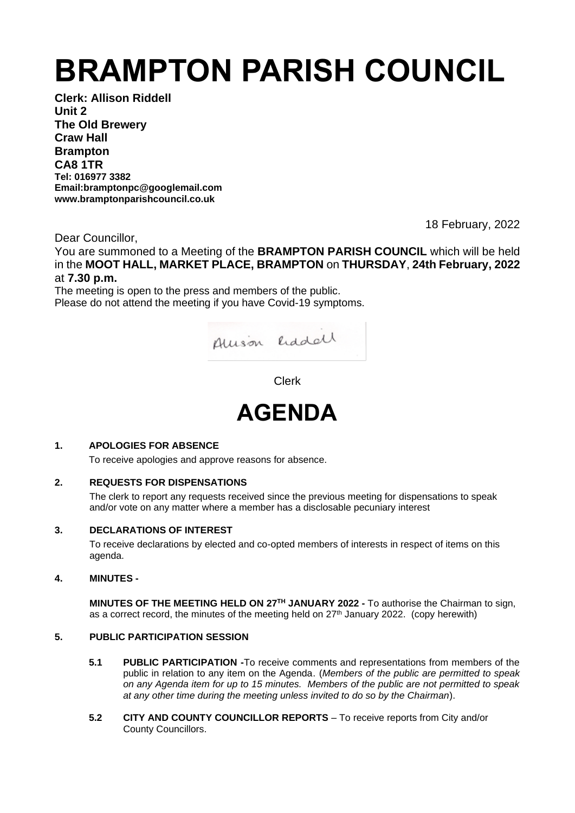# **BRAMPTON PARISH COUNCIL**

**Clerk: Allison Riddell Unit 2 The Old Brewery Craw Hall Brampton CA8 1TR Tel: 016977 3382 Email:bramptonpc@googlemail.com www.bramptonparishcouncil.co.uk**

18 February, 2022

Dear Councillor,

You are summoned to a Meeting of the **BRAMPTON PARISH COUNCIL** which will be held in the **MOOT HALL, MARKET PLACE, BRAMPTON** on **THURSDAY**, **24th February, 2022** at **7.30 p.m.**

The meeting is open to the press and members of the public. Please do not attend the meeting if you have Covid-19 symptoms.



Clerk



# **1. APOLOGIES FOR ABSENCE**

To receive apologies and approve reasons for absence.

# **2. REQUESTS FOR DISPENSATIONS**

The clerk to report any requests received since the previous meeting for dispensations to speak and/or vote on any matter where a member has a disclosable pecuniary interest

## **3. DECLARATIONS OF INTEREST**

To receive declarations by elected and co-opted members of interests in respect of items on this agenda.

## **4. MINUTES -**

**MINUTES OF THE MEETING HELD ON 27TH JANUARY 2022 -** To authorise the Chairman to sign, as a correct record, the minutes of the meeting held on  $27<sup>th</sup>$  January 2022. (copy herewith)

## **5. PUBLIC PARTICIPATION SESSION**

- **5.1 PUBLIC PARTICIPATION -**To receive comments and representations from members of the public in relation to any item on the Agenda. (*Members of the public are permitted to speak on any Agenda item for up to 15 minutes. Members of the public are not permitted to speak at any other time during the meeting unless invited to do so by the Chairman*).
- **5.2 CITY AND COUNTY COUNCILLOR REPORTS** To receive reports from City and/or County Councillors.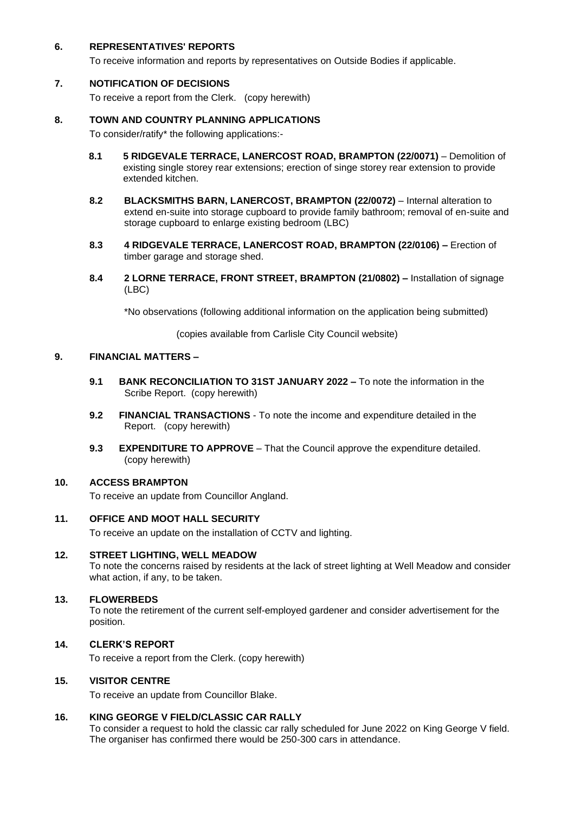## **6. REPRESENTATIVES' REPORTS**

To receive information and reports by representatives on Outside Bodies if applicable.

#### **7. NOTIFICATION OF DECISIONS**

To receive a report from the Clerk. (copy herewith)

#### **8. TOWN AND COUNTRY PLANNING APPLICATIONS**

To consider/ratify\* the following applications:-

- **8.1 5 RIDGEVALE TERRACE, LANERCOST ROAD, BRAMPTON (22/0071)** Demolition of existing single storey rear extensions; erection of singe storey rear extension to provide extended kitchen.
- **8.2 BLACKSMITHS BARN, LANERCOST, BRAMPTON (22/0072)** Internal alteration to extend en-suite into storage cupboard to provide family bathroom; removal of en-suite and storage cupboard to enlarge existing bedroom (LBC)
- **8.3 4 RIDGEVALE TERRACE, LANERCOST ROAD, BRAMPTON (22/0106) –** Erection of timber garage and storage shed.
- **8.4 2 LORNE TERRACE, FRONT STREET, BRAMPTON (21/0802) –** Installation of signage (LBC)

\*No observations (following additional information on the application being submitted)

(copies available from Carlisle City Council website)

### **9. FINANCIAL MATTERS –**

- **9.1 BANK RECONCILIATION TO 31ST JANUARY 2022 –** To note the information in the Scribe Report. (copy herewith)
- **9.2 FINANCIAL TRANSACTIONS** To note the income and expenditure detailed in the **Report.** (copy herewith)
- **9.3 EXPENDITURE TO APPROVE** That the Council approve the expenditure detailed. (copy herewith)

## **10. ACCESS BRAMPTON**

To receive an update from Councillor Angland.

#### **11. OFFICE AND MOOT HALL SECURITY**

To receive an update on the installation of CCTV and lighting.

#### **12. STREET LIGHTING, WELL MEADOW**

To note the concerns raised by residents at the lack of street lighting at Well Meadow and consider what action, if any, to be taken.

#### **13. FLOWERBEDS**

To note the retirement of the current self-employed gardener and consider advertisement for the position.

#### **14. CLERK'S REPORT**

To receive a report from the Clerk. (copy herewith)

## **15. VISITOR CENTRE**

To receive an update from Councillor Blake.

## **16. KING GEORGE V FIELD/CLASSIC CAR RALLY**

To consider a request to hold the classic car rally scheduled for June 2022 on King George V field. The organiser has confirmed there would be 250-300 cars in attendance.